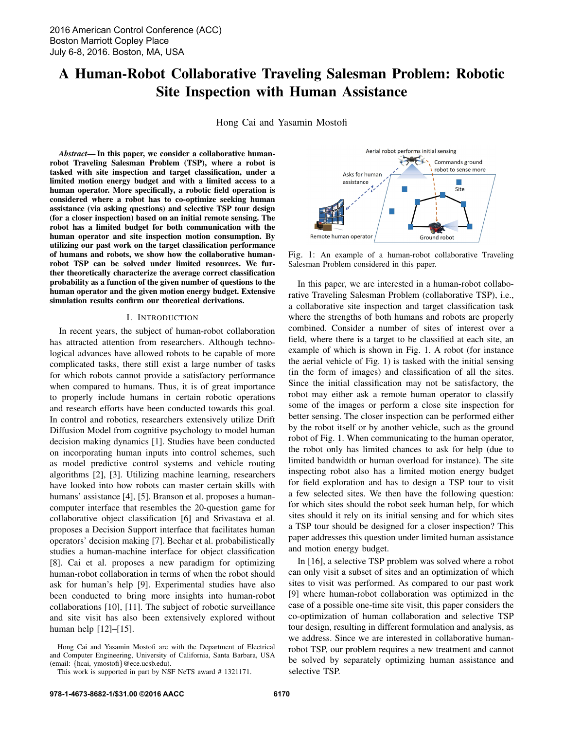# A Human-Robot Collaborative Traveling Salesman Problem: Robotic Site Inspection with Human Assistance

Hong Cai and Yasamin Mostofi

*Abstract*— In this paper, we consider a collaborative humanrobot Traveling Salesman Problem (TSP), where a robot is tasked with site inspection and target classification, under a limited motion energy budget and with a limited access to a human operator. More specifically, a robotic field operation is considered where a robot has to co-optimize seeking human assistance (via asking questions) and selective TSP tour design (for a closer inspection) based on an initial remote sensing. The robot has a limited budget for both communication with the human operator and site inspection motion consumption. By utilizing our past work on the target classification performance of humans and robots, we show how the collaborative humanrobot TSP can be solved under limited resources. We further theoretically characterize the average correct classification probability as a function of the given number of questions to the human operator and the given motion energy budget. Extensive simulation results confirm our theoretical derivations.

#### I. INTRODUCTION

In recent years, the subject of human-robot collaboration has attracted attention from researchers. Although technological advances have allowed robots to be capable of more complicated tasks, there still exist a large number of tasks for which robots cannot provide a satisfactory performance when compared to humans. Thus, it is of great importance to properly include humans in certain robotic operations and research efforts have been conducted towards this goal. In control and robotics, researchers extensively utilize Drift Diffusion Model from cognitive psychology to model human decision making dynamics [1]. Studies have been conducted on incorporating human inputs into control schemes, such as model predictive control systems and vehicle routing algorithms [2], [3]. Utilizing machine learning, researchers have looked into how robots can master certain skills with humans' assistance [4], [5]. Branson et al. proposes a humancomputer interface that resembles the 20-question game for collaborative object classification [6] and Srivastava et al. proposes a Decision Support interface that facilitates human operators' decision making [7]. Bechar et al. probabilistically studies a human-machine interface for object classification [8]. Cai et al. proposes a new paradigm for optimizing human-robot collaboration in terms of when the robot should ask for human's help [9]. Experimental studies have also been conducted to bring more insights into human-robot collaborations [10], [11]. The subject of robotic surveillance and site visit has also been extensively explored without human help [12]–[15].

Hong Cai and Yasamin Mostofi are with the Department of Electrical and Computer Engineering, University of California, Santa Barbara, USA (email: {hcai, ymostofi}@ece.ucsb.edu).



Fig. 1: An example of a human-robot collaborative Traveling Salesman Problem considered in this paper.

In this paper, we are interested in a human-robot collaborative Traveling Salesman Problem (collaborative TSP), i.e., a collaborative site inspection and target classification task where the strengths of both humans and robots are properly combined. Consider a number of sites of interest over a field, where there is a target to be classified at each site, an example of which is shown in Fig. 1. A robot (for instance the aerial vehicle of Fig. 1) is tasked with the initial sensing (in the form of images) and classification of all the sites. Since the initial classification may not be satisfactory, the robot may either ask a remote human operator to classify some of the images or perform a close site inspection for better sensing. The closer inspection can be performed either by the robot itself or by another vehicle, such as the ground robot of Fig. 1. When communicating to the human operator, the robot only has limited chances to ask for help (due to limited bandwidth or human overload for instance). The site inspecting robot also has a limited motion energy budget for field exploration and has to design a TSP tour to visit a few selected sites. We then have the following question: for which sites should the robot seek human help, for which sites should it rely on its initial sensing and for which sites a TSP tour should be designed for a closer inspection? This paper addresses this question under limited human assistance and motion energy budget.

In [16], a selective TSP problem was solved where a robot can only visit a subset of sites and an optimization of which sites to visit was performed. As compared to our past work [9] where human-robot collaboration was optimized in the case of a possible one-time site visit, this paper considers the co-optimization of human collaboration and selective TSP tour design, resulting in different formulation and analysis, as we address. Since we are interested in collaborative humanrobot TSP, our problem requires a new treatment and cannot be solved by separately optimizing human assistance and selective TSP.

This work is supported in part by NSF NeTS award # 1321171.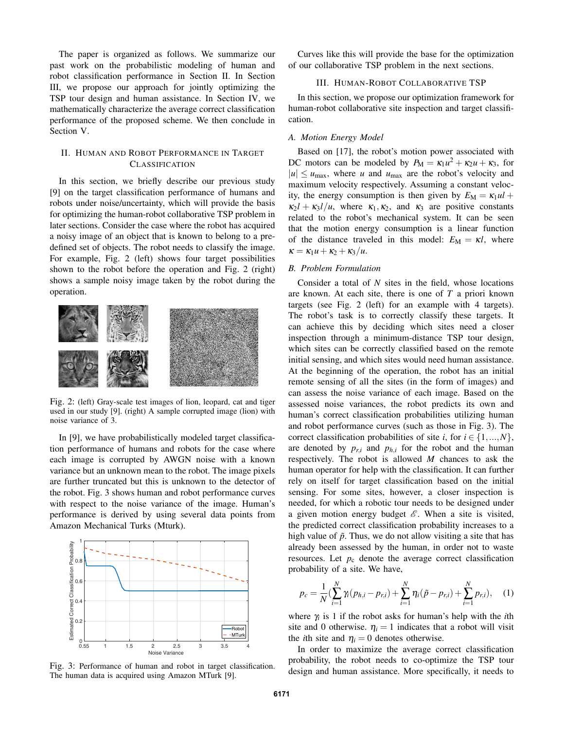The paper is organized as follows. We summarize our past work on the probabilistic modeling of human and robot classification performance in Section II. In Section III, we propose our approach for jointly optimizing the TSP tour design and human assistance. In Section IV, we mathematically characterize the average correct classification performance of the proposed scheme. We then conclude in Section V.

## II. HUMAN AND ROBOT PERFORMANCE IN TARGET CLASSIFICATION

In this section, we briefly describe our previous study [9] on the target classification performance of humans and robots under noise/uncertainty, which will provide the basis for optimizing the human-robot collaborative TSP problem in later sections. Consider the case where the robot has acquired a noisy image of an object that is known to belong to a predefined set of objects. The robot needs to classify the image. For example, Fig. 2 (left) shows four target possibilities shown to the robot before the operation and Fig. 2 (right) shows a sample noisy image taken by the robot during the operation.



Fig. 2: (left) Gray-scale test images of lion, leopard, cat and tiger used in our study [9]. (right) A sample corrupted image (lion) with noise variance of 3.

In [9], we have probabilistically modeled target classification performance of humans and robots for the case where each image is corrupted by AWGN noise with a known variance but an unknown mean to the robot. The image pixels are further truncated but this is unknown to the detector of the robot. Fig. 3 shows human and robot performance curves with respect to the noise variance of the image. Human's performance is derived by using several data points from Amazon Mechanical Turks (Mturk).



Fig. 3: Performance of human and robot in target classification. The human data is acquired using Amazon MTurk [9].

Curves like this will provide the base for the optimization of our collaborative TSP problem in the next sections.

## III. HUMAN-ROBOT COLLABORATIVE TSP

In this section, we propose our optimization framework for human-robot collaborative site inspection and target classification.

#### *A. Motion Energy Model*

Based on [17], the robot's motion power associated with DC motors can be modeled by  $P_M = \kappa_1 u^2 + \kappa_2 u + \kappa_3$ , for  $|u| \leq u_{\text{max}}$ , where *u* and  $u_{\text{max}}$  are the robot's velocity and maximum velocity respectively. Assuming a constant velocity, the energy consumption is then given by  $E_M = \kappa_1 u l +$  $\kappa_2 l + \kappa_3 l/u$ , where  $\kappa_1, \kappa_2$ , and  $\kappa_3$  are positive constants related to the robot's mechanical system. It can be seen that the motion energy consumption is a linear function of the distance traveled in this model:  $E_M = \kappa l$ , where  $\kappa = \kappa_1 u + \kappa_2 + \kappa_3/u.$ 

### *B. Problem Formulation*

Consider a total of *N* sites in the field, whose locations are known. At each site, there is one of *T* a priori known targets (see Fig. 2 (left) for an example with 4 targets). The robot's task is to correctly classify these targets. It can achieve this by deciding which sites need a closer inspection through a minimum-distance TSP tour design, which sites can be correctly classified based on the remote initial sensing, and which sites would need human assistance. At the beginning of the operation, the robot has an initial remote sensing of all the sites (in the form of images) and can assess the noise variance of each image. Based on the assessed noise variances, the robot predicts its own and human's correct classification probabilities utilizing human and robot performance curves (such as those in Fig. 3). The correct classification probabilities of site *i*, for  $i \in \{1, ..., N\}$ , are denoted by  $p_{r,i}$  and  $p_{h,i}$  for the robot and the human respectively. The robot is allowed *M* chances to ask the human operator for help with the classification. It can further rely on itself for target classification based on the initial sensing. For some sites, however, a closer inspection is needed, for which a robotic tour needs to be designed under a given motion energy budget  $\mathscr E$ . When a site is visited, the predicted correct classification probability increases to a high value of  $\tilde{p}$ . Thus, we do not allow visiting a site that has already been assessed by the human, in order not to waste resources. Let  $p_c$  denote the average correct classification probability of a site. We have,

$$
p_c = \frac{1}{N} \left( \sum_{i=1}^{N} \gamma_i (p_{h,i} - p_{r,i}) + \sum_{i=1}^{N} \eta_i (\tilde{p} - p_{r,i}) + \sum_{i=1}^{N} p_{r,i} \right), \quad (1)
$$

where  $\gamma$  is 1 if the robot asks for human's help with the *i*th site and 0 otherwise.  $\eta_i = 1$  indicates that a robot will visit the *i*th site and  $\eta_i = 0$  denotes otherwise.

In order to maximize the average correct classification probability, the robot needs to co-optimize the TSP tour design and human assistance. More specifically, it needs to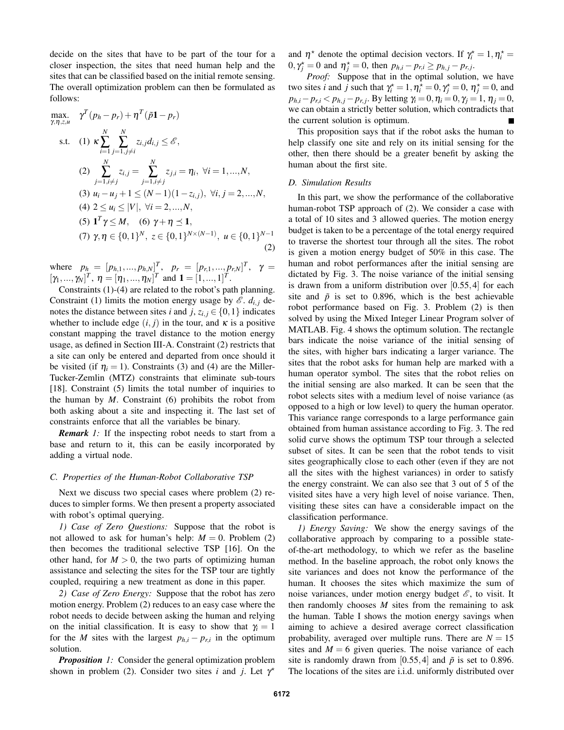decide on the sites that have to be part of the tour for a closer inspection, the sites that need human help and the sites that can be classified based on the initial remote sensing. The overall optimization problem can then be formulated as follows:

max. 
$$
\gamma^T(p_h - p_r) + \eta^T(\tilde{p}1 - p_r)
$$
  
\ns.t. (1)  $\kappa \sum_{i=1}^N \sum_{j=1, j \neq i}^N z_{i,j} d_{i,j} \leq \mathcal{E}$ ,  
\n(2)  $\sum_{j=1, i \neq j}^N z_{i,j} = \sum_{j=1, i \neq j}^N z_{j,i} = \eta_i, \forall i = 1, ..., N$ ,  
\n(3)  $u_i - u_j + 1 \leq (N-1)(1 - z_{i,j}), \forall i, j = 2, ..., N$ ,  
\n(4)  $2 \leq u_i \leq |V|, \forall i = 2, ..., N$ ,  
\n(5)  $\mathbf{1}^T \gamma \leq M$ , (6)  $\gamma + \eta \leq \mathbf{1}$ ,  
\n(7)  $\gamma, \eta \in \{0, 1\}^N$ ,  $z \in \{0, 1\}^{N \times (N-1)}$ ,  $u \in \{0, 1\}^{N-1}$  (2)

where  $p_h = [p_{h,1},..., p_{h,N}]^T$ ,  $p_r = [p_{r,1},..., p_{r,N}]^T$ ,  $\gamma =$  $[\gamma_1, ..., \gamma_N]^T$ ,  $\eta = [\eta_1, ..., \eta_N]^T$  and  $\mathbf{1} = [1, ..., 1]^T$ .

Constraints (1)-(4) are related to the robot's path planning. Constraint (1) limits the motion energy usage by  $\mathscr{E}$ .  $d_{i,j}$  denotes the distance between sites *i* and *j*,  $z_{i,j} \in \{0,1\}$  indicates whether to include edge  $(i, j)$  in the tour, and  $\kappa$  is a positive constant mapping the travel distance to the motion energy usage, as defined in Section III-A. Constraint (2) restricts that a site can only be entered and departed from once should it be visited (if  $\eta_i = 1$ ). Constraints (3) and (4) are the Miller-Tucker-Zemlin (MTZ) constraints that eliminate sub-tours [18]. Constraint (5) limits the total number of inquiries to the human by *M*. Constraint (6) prohibits the robot from both asking about a site and inspecting it. The last set of constraints enforce that all the variables be binary.

*Remark 1:* If the inspecting robot needs to start from a base and return to it, this can be easily incorporated by adding a virtual node.

### *C. Properties of the Human-Robot Collaborative TSP*

Next we discuss two special cases where problem (2) reduces to simpler forms. We then present a property associated with robot's optimal querying.

*1) Case of Zero Questions:* Suppose that the robot is not allowed to ask for human's help:  $M = 0$ . Problem (2) then becomes the traditional selective TSP [16]. On the other hand, for  $M > 0$ , the two parts of optimizing human assistance and selecting the sites for the TSP tour are tightly coupled, requiring a new treatment as done in this paper.

*2) Case of Zero Energy:* Suppose that the robot has zero motion energy. Problem (2) reduces to an easy case where the robot needs to decide between asking the human and relying on the initial classification. It is easy to show that  $\gamma_i = 1$ for the *M* sites with the largest  $p_{h,i} - p_{r,i}$  in the optimum solution.

*Proposition 1:* Consider the general optimization problem shown in problem (2). Consider two sites *i* and *j*. Let  $\gamma^*$ 

and  $\eta^*$  denote the optimal decision vectors. If  $\gamma_i^* = 1, \eta_i^* =$  $0, \gamma_j^* = 0$  and  $\eta_j^* = 0$ , then  $p_{h,i} - p_{r,i} \geq p_{h,j} - p_{r,j}$ .

*Proof:* Suppose that in the optimal solution, we have two sites *i* and *j* such that  $\gamma_i^* = 1, \eta_i^* = 0, \gamma_j^* = 0, \eta_j^* = 0$ , and *p*<sub>*h*,*i*</sub>− *p*<sub>*r*,*i*</sub> < *p*<sub>*h*,*j*− *p*<sub>*r*,*j*</sub>. By letting γ*i* = 0,  $η$ *i* = 0,  $γ$ *j* = 1,  $η$ *j* = 0,</sub> we can obtain a strictly better solution, which contradicts that the current solution is optimum.

This proposition says that if the robot asks the human to help classify one site and rely on its initial sensing for the other, then there should be a greater benefit by asking the human about the first site.

#### *D. Simulation Results*

In this part, we show the performance of the collaborative human-robot TSP approach of (2). We consider a case with a total of 10 sites and 3 allowed queries. The motion energy budget is taken to be a percentage of the total energy required to traverse the shortest tour through all the sites. The robot is given a motion energy budget of 50% in this case. The human and robot performances after the initial sensing are dictated by Fig. 3. The noise variance of the initial sensing is drawn from a uniform distribution over [0.55,4] for each site and  $\tilde{p}$  is set to 0.896, which is the best achievable robot performance based on Fig. 3. Problem (2) is then solved by using the Mixed Integer Linear Program solver of MATLAB. Fig. 4 shows the optimum solution. The rectangle bars indicate the noise variance of the initial sensing of the sites, with higher bars indicating a larger variance. The sites that the robot asks for human help are marked with a human operator symbol. The sites that the robot relies on the initial sensing are also marked. It can be seen that the robot selects sites with a medium level of noise variance (as opposed to a high or low level) to query the human operator. This variance range corresponds to a large performance gain obtained from human assistance according to Fig. 3. The red solid curve shows the optimum TSP tour through a selected subset of sites. It can be seen that the robot tends to visit sites geographically close to each other (even if they are not all the sites with the highest variances) in order to satisfy the energy constraint. We can also see that 3 out of 5 of the visited sites have a very high level of noise variance. Then, visiting these sites can have a considerable impact on the classification performance.

*1) Energy Saving:* We show the energy savings of the collaborative approach by comparing to a possible stateof-the-art methodology, to which we refer as the baseline method. In the baseline approach, the robot only knows the site variances and does not know the performance of the human. It chooses the sites which maximize the sum of noise variances, under motion energy budget  $\mathscr{E}$ , to visit. It then randomly chooses *M* sites from the remaining to ask the human. Table I shows the motion energy savings when aiming to achieve a desired average correct classification probability, averaged over multiple runs. There are  $N = 15$ sites and  $M = 6$  given queries. The noise variance of each site is randomly drawn from [0.55, 4] and  $\tilde{p}$  is set to 0.896. The locations of the sites are i.i.d. uniformly distributed over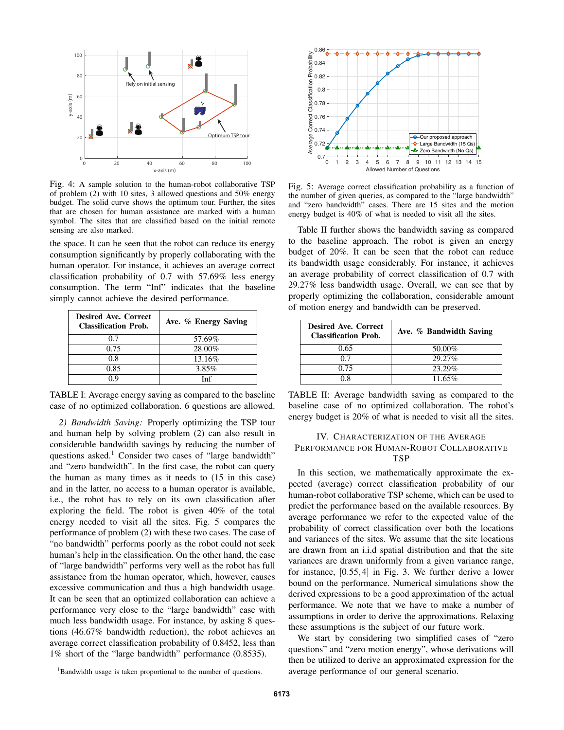

Fig. 4: A sample solution to the human-robot collaborative TSP of problem (2) with 10 sites, 3 allowed questions and 50% energy budget. The solid curve shows the optimum tour. Further, the sites that are chosen for human assistance are marked with a human symbol. The sites that are classified based on the initial remote sensing are also marked.

the space. It can be seen that the robot can reduce its energy consumption significantly by properly collaborating with the human operator. For instance, it achieves an average correct classification probability of 0.7 with 57.69% less energy consumption. The term "Inf" indicates that the baseline simply cannot achieve the desired performance.

| <b>Desired Ave. Correct</b><br><b>Classification Prob.</b> | Ave. % Energy Saving |
|------------------------------------------------------------|----------------------|
| 0.7                                                        | 57.69%               |
| 0.75                                                       | 28.00%               |
| 0.8                                                        | 13.16%               |
| 0.85                                                       | 3.85%                |
| በ ዐ                                                        | Inf                  |

TABLE I: Average energy saving as compared to the baseline case of no optimized collaboration. 6 questions are allowed.

*2) Bandwidth Saving:* Properly optimizing the TSP tour and human help by solving problem (2) can also result in considerable bandwidth savings by reducing the number of questions asked.<sup>1</sup> Consider two cases of "large bandwidth" and "zero bandwidth". In the first case, the robot can query the human as many times as it needs to (15 in this case) and in the latter, no access to a human operator is available, i.e., the robot has to rely on its own classification after exploring the field. The robot is given 40% of the total energy needed to visit all the sites. Fig. 5 compares the performance of problem (2) with these two cases. The case of "no bandwidth" performs poorly as the robot could not seek human's help in the classification. On the other hand, the case of "large bandwidth" performs very well as the robot has full assistance from the human operator, which, however, causes excessive communication and thus a high bandwidth usage. It can be seen that an optimized collaboration can achieve a performance very close to the "large bandwidth" case with much less bandwidth usage. For instance, by asking 8 questions (46.67% bandwidth reduction), the robot achieves an average correct classification probability of 0.8452, less than 1% short of the "large bandwidth" performance (0.8535).



Fig. 5: Average correct classification probability as a function of the number of given queries, as compared to the "large bandwidth" and "zero bandwidth" cases. There are 15 sites and the motion energy budget is 40% of what is needed to visit all the sites.

Table II further shows the bandwidth saving as compared to the baseline approach. The robot is given an energy budget of 20%. It can be seen that the robot can reduce its bandwidth usage considerably. For instance, it achieves an average probability of correct classification of 0.7 with 29.27% less bandwidth usage. Overall, we can see that by properly optimizing the collaboration, considerable amount of motion energy and bandwidth can be preserved.

| <b>Desired Ave. Correct</b><br><b>Classification Prob.</b> | Ave. % Bandwidth Saving |
|------------------------------------------------------------|-------------------------|
| 0.65                                                       | 50.00%                  |
| 0.7                                                        | 29.27%                  |
| 0.75                                                       | 23.29%                  |
| 0 X                                                        | 11.65%                  |

TABLE II: Average bandwidth saving as compared to the baseline case of no optimized collaboration. The robot's energy budget is 20% of what is needed to visit all the sites.

## IV. CHARACTERIZATION OF THE AVERAGE PERFORMANCE FOR HUMAN-ROBOT COLLABORATIVE **TSP**

In this section, we mathematically approximate the expected (average) correct classification probability of our human-robot collaborative TSP scheme, which can be used to predict the performance based on the available resources. By average performance we refer to the expected value of the probability of correct classification over both the locations and variances of the sites. We assume that the site locations are drawn from an i.i.d spatial distribution and that the site variances are drawn uniformly from a given variance range, for instance, [0.55,4] in Fig. 3. We further derive a lower bound on the performance. Numerical simulations show the derived expressions to be a good approximation of the actual performance. We note that we have to make a number of assumptions in order to derive the approximations. Relaxing these assumptions is the subject of our future work.

We start by considering two simplified cases of "zero questions" and "zero motion energy", whose derivations will then be utilized to derive an approximated expression for the average performance of our general scenario.

<sup>&</sup>lt;sup>1</sup>Bandwidth usage is taken proportional to the number of questions.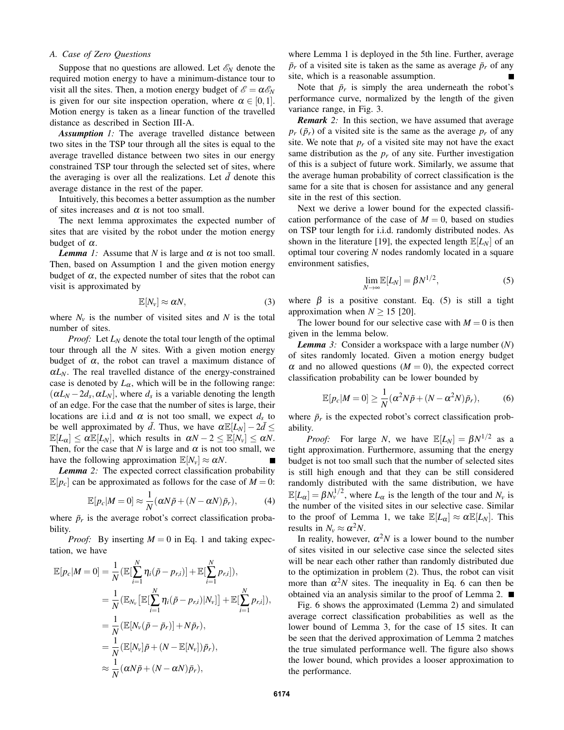## *A. Case of Zero Questions*

Suppose that no questions are allowed. Let  $\mathscr{E}_N$  denote the required motion energy to have a minimum-distance tour to visit all the sites. Then, a motion energy budget of  $\mathscr{E} = \alpha \mathscr{E}_N$ is given for our site inspection operation, where  $\alpha \in [0,1]$ . Motion energy is taken as a linear function of the travelled distance as described in Section III-A.

*Assumption 1:* The average travelled distance between two sites in the TSP tour through all the sites is equal to the average travelled distance between two sites in our energy constrained TSP tour through the selected set of sites, where the averaging is over all the realizations. Let  $\bar{d}$  denote this average distance in the rest of the paper.

Intuitively, this becomes a better assumption as the number of sites increases and  $\alpha$  is not too small.

The next lemma approximates the expected number of sites that are visited by the robot under the motion energy budget of  $\alpha$ .

*Lemma 1:* Assume that *N* is large and  $\alpha$  is not too small. Then, based on Assumption 1 and the given motion energy budget of  $\alpha$ , the expected number of sites that the robot can visit is approximated by

$$
\mathbb{E}[N_{\nu}] \approx \alpha N, \tag{3}
$$

where  $N_v$  is the number of visited sites and  $N$  is the total number of sites.

*Proof:* Let *L<sup>N</sup>* denote the total tour length of the optimal tour through all the *N* sites. With a given motion energy budget of  $\alpha$ , the robot can travel a maximum distance of  $\alpha L_N$ . The real travelled distance of the energy-constrained case is denoted by  $L_{\alpha}$ , which will be in the following range:  $(\alpha L_N - 2d_s, \alpha L_N]$ , where  $d_s$  is a variable denoting the length of an edge. For the case that the number of sites is large, their locations are i.i.d and  $\alpha$  is not too small, we expect  $d_s$  to be well approximated by  $\bar{d}$ . Thus, we have  $\alpha \mathbb{E}[L_N] - 2\bar{d} \leq$  $\mathbb{E}[L_{\alpha}] \leq \alpha \mathbb{E}[L_N]$ , which results in  $\alpha N - 2 \leq \mathbb{E}[N_{\nu}] \leq \alpha N$ . Then, for the case that *N* is large and  $\alpha$  is not too small, we have the following approximation  $\mathbb{E}[N_v] \approx \alpha N$ .

*Lemma 2:* The expected correct classification probability  $\mathbb{E}[p_c]$  can be approximated as follows for the case of  $M = 0$ :

$$
\mathbb{E}[p_c|M=0] \approx \frac{1}{N} (\alpha N \tilde{p} + (N - \alpha N) \bar{p}_r), \tag{4}
$$

where  $\bar{p}_r$  is the average robot's correct classification probability.

*Proof:* By inserting  $M = 0$  in Eq. 1 and taking expectation, we have

$$
\mathbb{E}[p_c|M=0] = \frac{1}{N} (\mathbb{E}[\sum_{i=1}^N \eta_i(\tilde{p}-p_{r,i})] + \mathbb{E}[\sum_{i=1}^N p_{r,i}]),
$$
  
\n
$$
= \frac{1}{N} (\mathbb{E}_{N_v}[\mathbb{E}[\sum_{i=1}^N \eta_i(\tilde{p}-p_{r,i})|N_v]] + \mathbb{E}[\sum_{i=1}^N p_{r,i}]),
$$
  
\n
$$
= \frac{1}{N} (\mathbb{E}[N_v(\tilde{p}-\bar{p}_r)] + N\bar{p}_r),
$$
  
\n
$$
= \frac{1}{N} (\mathbb{E}[N_v]\tilde{p} + (N - \mathbb{E}[N_v])\bar{p}_r),
$$
  
\n
$$
\approx \frac{1}{N} (\alpha N\tilde{p} + (N - \alpha N)\bar{p}_r),
$$

where Lemma 1 is deployed in the 5th line. Further, average  $\bar{p}_r$  of a visited site is taken as the same as average  $\bar{p}_r$  of any site, which is a reasonable assumption.  $\blacksquare$ 

Note that  $\bar{p}_r$  is simply the area underneath the robot's performance curve, normalized by the length of the given variance range, in Fig. 3.

*Remark 2:* In this section, we have assumed that average  $p_r$  ( $\bar{p}_r$ ) of a visited site is the same as the average  $p_r$  of any site. We note that  $p<sub>r</sub>$  of a visited site may not have the exact same distribution as the  $p_r$  of any site. Further investigation of this is a subject of future work. Similarly, we assume that the average human probability of correct classification is the same for a site that is chosen for assistance and any general site in the rest of this section.

Next we derive a lower bound for the expected classification performance of the case of  $M = 0$ , based on studies on TSP tour length for i.i.d. randomly distributed nodes. As shown in the literature [19], the expected length  $\mathbb{E}[L_N]$  of an optimal tour covering *N* nodes randomly located in a square environment satisfies,

$$
\lim_{N \to \infty} \mathbb{E}[L_N] = \beta N^{1/2},\tag{5}
$$

where  $\beta$  is a positive constant. Eq. (5) is still a tight approximation when  $N \ge 15$  [20].

The lower bound for our selective case with  $M = 0$  is then given in the lemma below.

*Lemma 3:* Consider a workspace with a large number (*N*) of sites randomly located. Given a motion energy budget  $\alpha$  and no allowed questions ( $M = 0$ ), the expected correct classification probability can be lower bounded by

$$
\mathbb{E}[p_c|M=0] \ge \frac{1}{N}(\alpha^2 N\tilde{p} + (N - \alpha^2 N)\bar{p}_r),\tag{6}
$$

where  $\bar{p}_r$  is the expected robot's correct classification probability.

*Proof:* For large *N*, we have  $\mathbb{E}[L_N] = \beta N^{1/2}$  as a tight approximation. Furthermore, assuming that the energy budget is not too small such that the number of selected sites is still high enough and that they can be still considered randomly distributed with the same distribution, we have  $\mathbb{E}[L_{\alpha}] = \beta N_v^{1/2}$ , where  $L_{\alpha}$  is the length of the tour and  $N_v$  is the number of the visited sites in our selective case. Similar to the proof of Lemma 1, we take  $\mathbb{E}[L_{\alpha}] \approx \alpha \mathbb{E}[L_N]$ . This results in  $N_v \approx \alpha^2 N$ .

In reality, however,  $\alpha^2 N$  is a lower bound to the number of sites visited in our selective case since the selected sites will be near each other rather than randomly distributed due to the optimization in problem (2). Thus, the robot can visit more than  $\alpha^2 N$  sites. The inequality in Eq. 6 can then be obtained via an analysis similar to the proof of Lemma 2.

Fig. 6 shows the approximated (Lemma 2) and simulated average correct classification probabilities as well as the lower bound of Lemma 3, for the case of 15 sites. It can be seen that the derived approximation of Lemma 2 matches the true simulated performance well. The figure also shows the lower bound, which provides a looser approximation to the performance.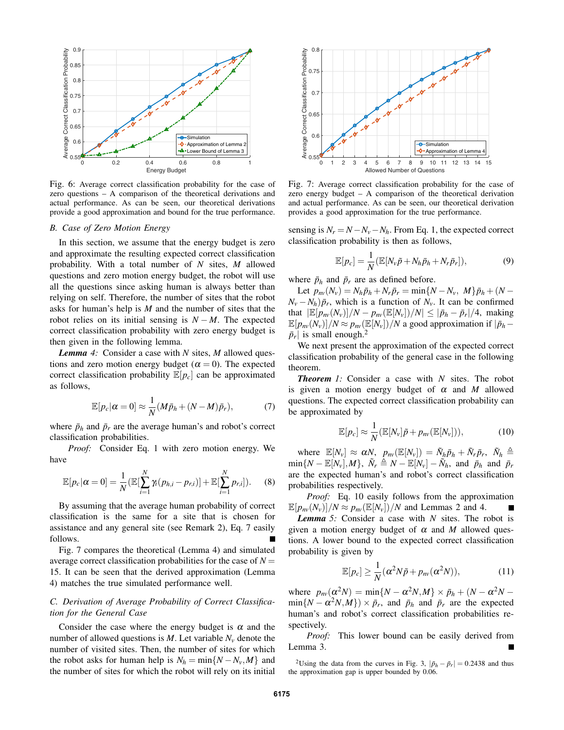

Fig. 6: Average correct classification probability for the case of zero questions – A comparison of the theoretical derivations and actual performance. As can be seen, our theoretical derivations provide a good approximation and bound for the true performance.

#### *B. Case of Zero Motion Energy*

In this section, we assume that the energy budget is zero and approximate the resulting expected correct classification probability. With a total number of *N* sites, *M* allowed questions and zero motion energy budget, the robot will use all the questions since asking human is always better than relying on self. Therefore, the number of sites that the robot asks for human's help is *M* and the number of sites that the robot relies on its initial sensing is  $N - M$ . The expected correct classification probability with zero energy budget is then given in the following lemma.

*Lemma 4:* Consider a case with *N* sites, *M* allowed questions and zero motion energy budget ( $\alpha = 0$ ). The expected correct classification probability  $\mathbb{E}[p_c]$  can be approximated as follows,

$$
\mathbb{E}[p_c|\alpha=0] \approx \frac{1}{N}(M\bar{p}_h + (N-M)\bar{p}_r),\tag{7}
$$

where  $\bar{p}_h$  and  $\bar{p}_r$  are the average human's and robot's correct classification probabilities.

*Proof:* Consider Eq. 1 with zero motion energy. We have

$$
\mathbb{E}[p_c|\alpha=0]=\frac{1}{N}(\mathbb{E}[\sum_{i=1}^N\gamma_i(p_{h,i}-p_{r,i})]+\mathbb{E}[\sum_{i=1}^N p_{r,i}]).
$$
 (8)

By assuming that the average human probability of correct classification is the same for a site that is chosen for assistance and any general site (see Remark 2), Eq. 7 easily follows.

Fig. 7 compares the theoretical (Lemma 4) and simulated average correct classification probabilities for the case of  $N =$ 15. It can be seen that the derived approximation (Lemma 4) matches the true simulated performance well.

## *C. Derivation of Average Probability of Correct Classification for the General Case*

Consider the case where the energy budget is  $\alpha$  and the number of allowed questions is  $M$ . Let variable  $N_v$  denote the number of visited sites. Then, the number of sites for which the robot asks for human help is  $N_h = \min\{N - N_v, M\}$  and the number of sites for which the robot will rely on its initial



Fig. 7: Average correct classification probability for the case of zero energy budget – A comparison of the theoretical derivation and actual performance. As can be seen, our theoretical derivation provides a good approximation for the true performance.

sensing is  $N_r = N - N_v - N_h$ . From Eq. 1, the expected correct classification probability is then as follows,

$$
\mathbb{E}[p_c] = \frac{1}{N} (\mathbb{E}[N_v\tilde{p} + N_h\bar{p}_h + N_r\bar{p}_r]),
$$
\n(9)

where  $\bar{p}_h$  and  $\bar{p}_r$  are as defined before.

Let  $p_{nv}(N_v) = N_h \bar{p}_h + N_r \bar{p}_r = \min\{N - N_v, M\} \bar{p}_h + (N N_v - N_h$ ) $\bar{p}_r$ , which is a function of  $N_v$ . It can be confirmed that  $|\mathbb{E}[p_{nv}(N_v)]/N - p_{nv}(\mathbb{E}[N_v])/N| \leq |\bar{p}_h - \bar{p}_r|/4$ , making  $\mathbb{E}[p_{nv}(N_v)]/N \approx p_{nv}(\mathbb{E}[N_v])/N$  a good approximation if  $|\bar{p}_h - p|$  $|\bar{p}_r|$  is small enough.<sup>2</sup>

We next present the approximation of the expected correct classification probability of the general case in the following theorem.

*Theorem 1:* Consider a case with *N* sites. The robot is given a motion energy budget of  $\alpha$  and  $M$  allowed questions. The expected correct classification probability can be approximated by

$$
\mathbb{E}[p_c] \approx \frac{1}{N} (\mathbb{E}[N_v]\tilde{p} + p_{nv} (\mathbb{E}[N_v])), \qquad (10)
$$

where  $\mathbb{E}[N_v] \approx \alpha N$ ,  $p_{nv}(\mathbb{E}[N_v]) = \tilde{N}_h \bar{p}_h + \tilde{N}_r \bar{p}_r$ ,  $\tilde{N}_h \triangleq$  $\min\{N - \mathbb{E}[N_{\nu}], M\}, \ \tilde{N}_r \triangleq N - \mathbb{E}[N_{\nu}] - \tilde{N}_h$ , and  $\bar{p}_h$  and  $\bar{p}_r$ are the expected human's and robot's correct classification probabilities respectively.

*Proof:* Eq. 10 easily follows from the approximation  $\mathbb{E}[p_{nv}(N_v)]/N \approx p_{nv}(\mathbb{E}[N_v])/N$  and Lemmas 2 and 4.

*Lemma 5:* Consider a case with *N* sites. The robot is given a motion energy budget of  $\alpha$  and M allowed questions. A lower bound to the expected correct classification probability is given by

$$
\mathbb{E}[p_c] \ge \frac{1}{N} (\alpha^2 N \tilde{p} + p_{nv} (\alpha^2 N)), \tag{11}
$$

where  $p_{nv}(\alpha^2 N) = \min\{N - \alpha^2 N, M\} \times \bar{p}_h + (N - \alpha^2 N \min\{N - \alpha^2 N, M\}$ ) ×  $\bar{p}_r$ , and  $\bar{p}_h$  and  $\bar{p}_r$  are the expected human's and robot's correct classification probabilities respectively.

*Proof:* This lower bound can be easily derived from Lemma 3.

<sup>2</sup>Using the data from the curves in Fig. 3,  $|\bar{p}_h - \bar{p}_r| = 0.2438$  and thus the approximation gap is upper bounded by 0.06.